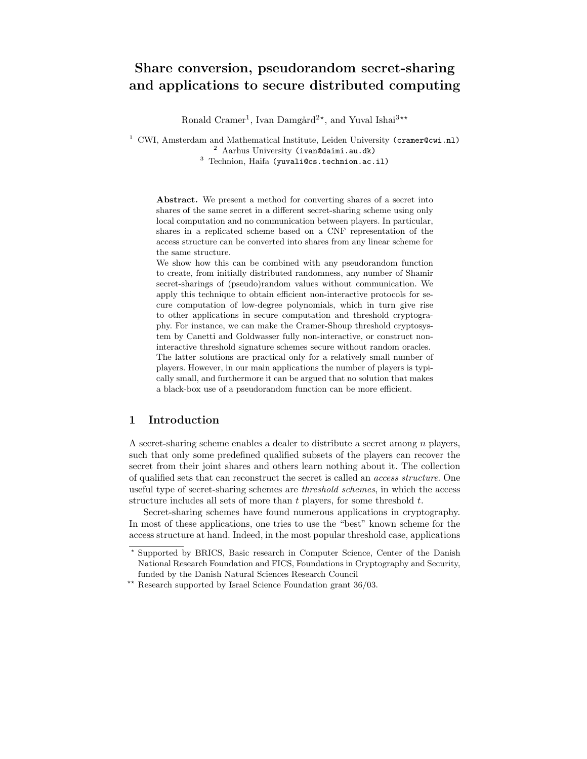# Share conversion, pseudorandom secret-sharing and applications to secure distributed computing

Ronald Cramer<sup>1</sup>, Ivan Damgård<sup>2\*</sup>, and Yuval Ishai<sup>3\*\*</sup>

<sup>1</sup> CWI, Amsterdam and Mathematical Institute, Leiden University (cramer@cwi.nl) <sup>2</sup> Aarhus University (ivan@daimi.au.dk)  $^3$  Technion, Haifa (yuvali@cs.technion.ac.il)

Abstract. We present a method for converting shares of a secret into shares of the same secret in a different secret-sharing scheme using only local computation and no communication between players. In particular, shares in a replicated scheme based on a CNF representation of the access structure can be converted into shares from any linear scheme for the same structure.

We show how this can be combined with any pseudorandom function to create, from initially distributed randomness, any number of Shamir secret-sharings of (pseudo)random values without communication. We apply this technique to obtain efficient non-interactive protocols for secure computation of low-degree polynomials, which in turn give rise to other applications in secure computation and threshold cryptography. For instance, we can make the Cramer-Shoup threshold cryptosystem by Canetti and Goldwasser fully non-interactive, or construct noninteractive threshold signature schemes secure without random oracles. The latter solutions are practical only for a relatively small number of players. However, in our main applications the number of players is typically small, and furthermore it can be argued that no solution that makes a black-box use of a pseudorandom function can be more efficient.

## 1 Introduction

A secret-sharing scheme enables a dealer to distribute a secret among  $n$  players, such that only some predefined qualified subsets of the players can recover the secret from their joint shares and others learn nothing about it. The collection of qualified sets that can reconstruct the secret is called an access structure. One useful type of secret-sharing schemes are threshold schemes, in which the access structure includes all sets of more than  $t$  players, for some threshold  $t$ .

Secret-sharing schemes have found numerous applications in cryptography. In most of these applications, one tries to use the "best" known scheme for the access structure at hand. Indeed, in the most popular threshold case, applications

Supported by BRICS, Basic research in Computer Science, Center of the Danish National Research Foundation and FICS, Foundations in Cryptography and Security, funded by the Danish Natural Sciences Research Council

Research supported by Israel Science Foundation grant  $36/03$ .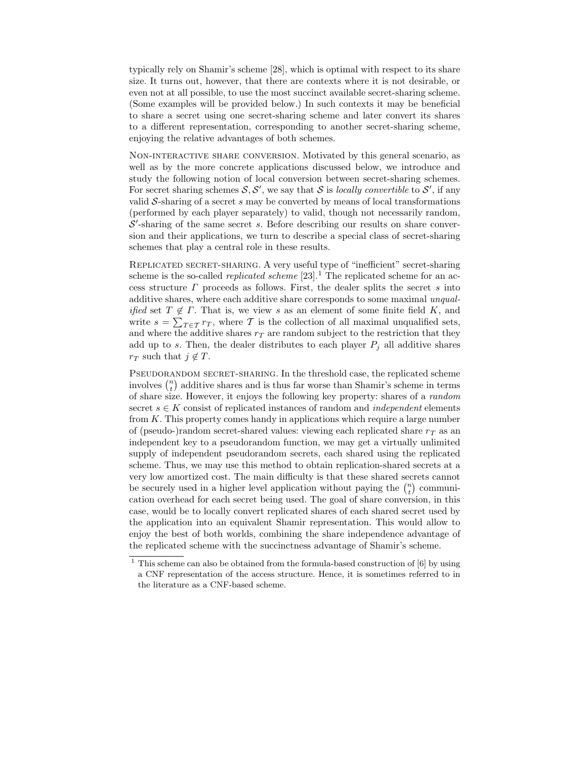typically rely on Shamir's scheme [28], which is optimal with respect to its share size. It turns out, however, that there are contexts where it is not desirable, or even not at all possible, to use the most succinct available secret-sharing scheme. (Some examples will be provided below.) In such contexts it may be beneficial to share a secret using one secret-sharing scheme and later convert its shares to a different representation, corresponding to another secret-sharing scheme, enjoying the relative advantages of both schemes.

Non-interactive share conversion. Motivated by this general scenario, as well as by the more concrete applications discussed below, we introduce and study the following notion of local conversion between secret-sharing schemes. For secret sharing schemes  $S, S'$ , we say that S is locally convertible to S', if any valid S-sharing of a secret s may be converted by means of local transformations (performed by each player separately) to valid, though not necessarily random,  $\mathcal{S}'$ -sharing of the same secret s. Before describing our results on share conversion and their applications, we turn to describe a special class of secret-sharing schemes that play a central role in these results.

Replicated secret-sharing. A very useful type of "inefficient" secret-sharing scheme is the so-called *replicated scheme* [23].<sup>1</sup> The replicated scheme for an access structure  $\Gamma$  proceeds as follows. First, the dealer splits the secret s into additive shares, where each additive share corresponds to some maximal unqualified set  $T \notin \Gamma$ . That is, we view s as an element of some finite field K, and write  $s = \sum_{T \in \mathcal{T}} r_T$ , where  $\mathcal{T}$  is the collection of all maximal unqualified sets, and where the additive shares  $r<sub>T</sub>$  are random subject to the restriction that they add up to s. Then, the dealer distributes to each player  $P_j$  all additive shares  $r_T$  such that  $j \notin T$ .

PSEUDORANDOM SECRET-SHARING. In the threshold case, the replicated scheme involves  $\binom{n}{t}$  additive shares and is thus far worse than Shamir's scheme in terms of share size. However, it enjoys the following key property: shares of a random secret  $s \in K$  consist of replicated instances of random and *independent* elements from K. This property comes handy in applications which require a large number of (pseudo-)random secret-shared values: viewing each replicated share  $r<sub>T</sub>$  as an independent key to a pseudorandom function, we may get a virtually unlimited supply of independent pseudorandom secrets, each shared using the replicated scheme. Thus, we may use this method to obtain replication-shared secrets at a very low amortized cost. The main difficulty is that these shared secrets cannot be securely used in a higher level application without paying the  $\binom{n}{t}$  communication overhead for each secret being used. The goal of share conversion, in this case, would be to locally convert replicated shares of each shared secret used by the application into an equivalent Shamir representation. This would allow to enjoy the best of both worlds, combining the share independence advantage of the replicated scheme with the succinctness advantage of Shamir's scheme.

<sup>&</sup>lt;sup>1</sup> This scheme can also be obtained from the formula-based construction of [6] by using a CNF representation of the access structure. Hence, it is sometimes referred to in the literature as a CNF-based scheme.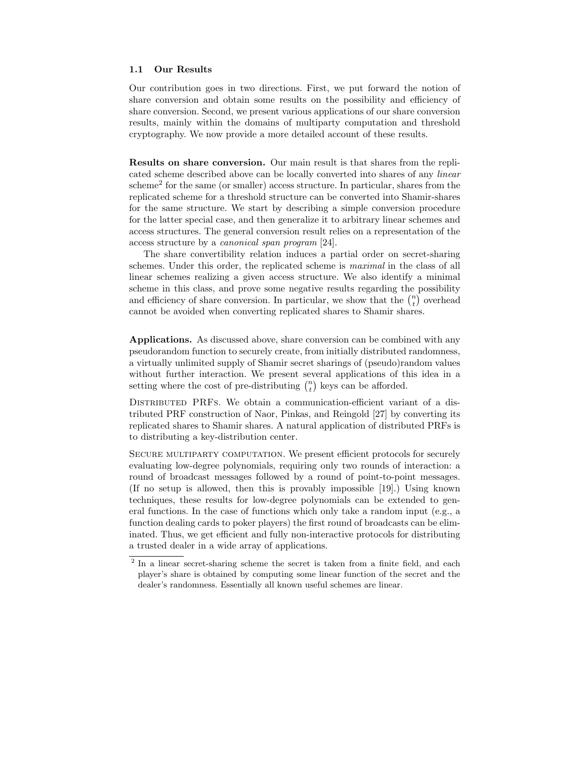#### 1.1 Our Results

Our contribution goes in two directions. First, we put forward the notion of share conversion and obtain some results on the possibility and efficiency of share conversion. Second, we present various applications of our share conversion results, mainly within the domains of multiparty computation and threshold cryptography. We now provide a more detailed account of these results.

Results on share conversion. Our main result is that shares from the replicated scheme described above can be locally converted into shares of any linear scheme<sup>2</sup> for the same (or smaller) access structure. In particular, shares from the replicated scheme for a threshold structure can be converted into Shamir-shares for the same structure. We start by describing a simple conversion procedure for the latter special case, and then generalize it to arbitrary linear schemes and access structures. The general conversion result relies on a representation of the access structure by a canonical span program [24].

The share convertibility relation induces a partial order on secret-sharing schemes. Under this order, the replicated scheme is maximal in the class of all linear schemes realizing a given access structure. We also identify a minimal scheme in this class, and prove some negative results regarding the possibility and efficiency of share conversion. In particular, we show that the  $\binom{n}{t}$  overhead cannot be avoided when converting replicated shares to Shamir shares.

Applications. As discussed above, share conversion can be combined with any pseudorandom function to securely create, from initially distributed randomness, a virtually unlimited supply of Shamir secret sharings of (pseudo)random values without further interaction. We present several applications of this idea in a setting where the cost of pre-distributing  $\binom{n}{t}$  keys can be afforded.

DISTRIBUTED PRFS. We obtain a communication-efficient variant of a distributed PRF construction of Naor, Pinkas, and Reingold [27] by converting its replicated shares to Shamir shares. A natural application of distributed PRFs is to distributing a key-distribution center.

Secure multiparty computation. We present efficient protocols for securely evaluating low-degree polynomials, requiring only two rounds of interaction: a round of broadcast messages followed by a round of point-to-point messages. (If no setup is allowed, then this is provably impossible [19].) Using known techniques, these results for low-degree polynomials can be extended to general functions. In the case of functions which only take a random input (e.g., a function dealing cards to poker players) the first round of broadcasts can be eliminated. Thus, we get efficient and fully non-interactive protocols for distributing a trusted dealer in a wide array of applications.

<sup>&</sup>lt;sup>2</sup> In a linear secret-sharing scheme the secret is taken from a finite field, and each player's share is obtained by computing some linear function of the secret and the dealer's randomness. Essentially all known useful schemes are linear.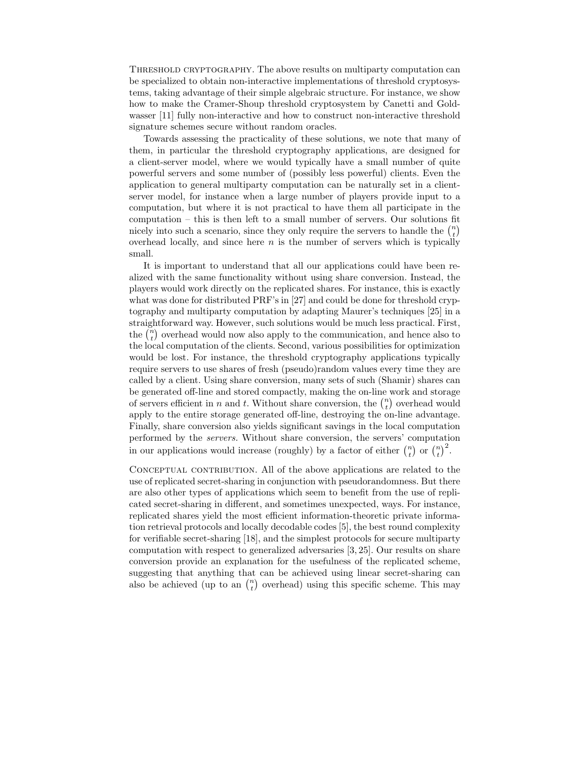THRESHOLD CRYPTOGRAPHY. The above results on multiparty computation can be specialized to obtain non-interactive implementations of threshold cryptosystems, taking advantage of their simple algebraic structure. For instance, we show how to make the Cramer-Shoup threshold cryptosystem by Canetti and Goldwasser [11] fully non-interactive and how to construct non-interactive threshold signature schemes secure without random oracles.

Towards assessing the practicality of these solutions, we note that many of them, in particular the threshold cryptography applications, are designed for a client-server model, where we would typically have a small number of quite powerful servers and some number of (possibly less powerful) clients. Even the application to general multiparty computation can be naturally set in a clientserver model, for instance when a large number of players provide input to a computation, but where it is not practical to have them all participate in the computation – this is then left to a small number of servers. Our solutions fit nicely into such a scenario, since they only require the servers to handle the  $\binom{n}{t}$ overhead locally, and since here  $n$  is the number of servers which is typically small.

It is important to understand that all our applications could have been realized with the same functionality without using share conversion. Instead, the players would work directly on the replicated shares. For instance, this is exactly what was done for distributed PRF's in [27] and could be done for threshold cryptography and multiparty computation by adapting Maurer's techniques [25] in a straightforward way. However, such solutions would be much less practical. First, the  $\binom{n}{t}$  overhead would now also apply to the communication, and hence also to the local computation of the clients. Second, various possibilities for optimization would be lost. For instance, the threshold cryptography applications typically require servers to use shares of fresh (pseudo)random values every time they are called by a client. Using share conversion, many sets of such (Shamir) shares can be generated off-line and stored compactly, making the on-line work and storage of servers efficient in n and t. Without share conversion, the  $\binom{n}{t}$  overhead would apply to the entire storage generated off-line, destroying the on-line advantage. Finally, share conversion also yields significant savings in the local computation performed by the servers. Without share conversion, the servers' computation in our applications would increase (roughly) by a factor of either  $\binom{n}{t}$  or  $\binom{n}{t}^2$ .

CONCEPTUAL CONTRIBUTION. All of the above applications are related to the use of replicated secret-sharing in conjunction with pseudorandomness. But there are also other types of applications which seem to benefit from the use of replicated secret-sharing in different, and sometimes unexpected, ways. For instance, replicated shares yield the most efficient information-theoretic private information retrieval protocols and locally decodable codes [5], the best round complexity for verifiable secret-sharing [18], and the simplest protocols for secure multiparty computation with respect to generalized adversaries [3, 25]. Our results on share conversion provide an explanation for the usefulness of the replicated scheme, suggesting that anything that can be achieved using linear secret-sharing can also be achieved (up to an  $\binom{n}{t}$  overhead) using this specific scheme. This may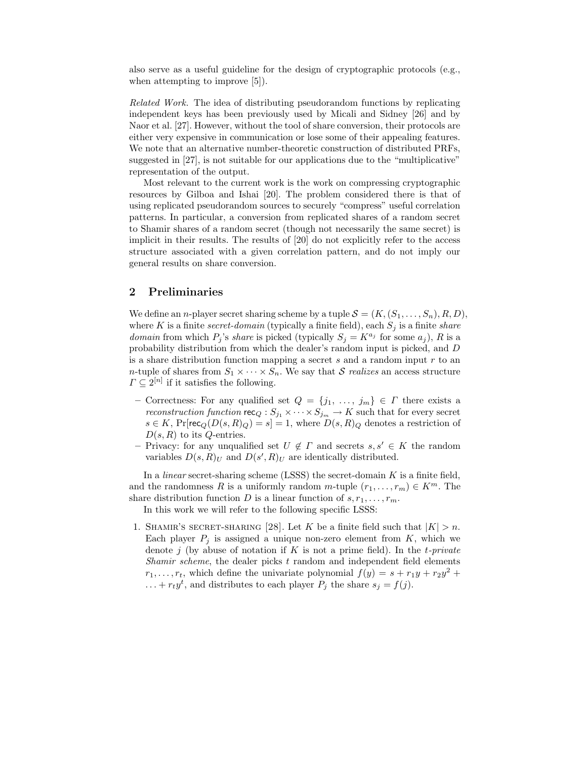also serve as a useful guideline for the design of cryptographic protocols (e.g., when attempting to improve [5]).

Related Work. The idea of distributing pseudorandom functions by replicating independent keys has been previously used by Micali and Sidney [26] and by Naor et al. [27]. However, without the tool of share conversion, their protocols are either very expensive in communication or lose some of their appealing features. We note that an alternative number-theoretic construction of distributed PRFs, suggested in [27], is not suitable for our applications due to the "multiplicative" representation of the output.

Most relevant to the current work is the work on compressing cryptographic resources by Gilboa and Ishai [20]. The problem considered there is that of using replicated pseudorandom sources to securely "compress" useful correlation patterns. In particular, a conversion from replicated shares of a random secret to Shamir shares of a random secret (though not necessarily the same secret) is implicit in their results. The results of [20] do not explicitly refer to the access structure associated with a given correlation pattern, and do not imply our general results on share conversion.

## 2 Preliminaries

We define an *n*-player secret sharing scheme by a tuple  $\mathcal{S} = (K, (S_1, \ldots, S_n), R, D)$ , where K is a finite secret-domain (typically a finite field), each  $S_j$  is a finite share *domain* from which  $P_j$ 's *share* is picked (typically  $S_j = K^{a_j}$  for some  $a_j$ ), R is a probability distribution from which the dealer's random input is picked, and D is a share distribution function mapping a secret  $s$  and a random input  $r$  to an *n*-tuple of shares from  $S_1 \times \cdots \times S_n$ . We say that S realizes an access structure  $\Gamma \subseteq 2^{[n]}$  if it satisfies the following.

- Correctness: For any qualified set  $Q = \{j_1, \ldots, j_m\} \in \Gamma$  there exists a reconstruction function  $\mathsf{rec}_Q : S_{j_1} \times \cdots \times S_{j_m} \to K$  such that for every secret  $s \in K$ , Pr[ $\text{rec}_Q(D(s,R)_Q) = s$ ] = 1, where  $D(s,R)_Q$  denotes a restriction of  $D(s, R)$  to its Q-entries.
- Privacy: for any unqualified set  $U \notin \Gamma$  and secrets  $s, s' \in K$  the random variables  $D(s, R)_U$  and  $D(s', R)_U$  are identically distributed.

In a *linear* secret-sharing scheme  $(LSSS)$  the secret-domain  $K$  is a finite field, and the randomness R is a uniformly random m-tuple  $(r_1, \ldots, r_m) \in K^m$ . The share distribution function D is a linear function of  $s, r_1, \ldots, r_m$ .

In this work we will refer to the following specific LSSS:

1. SHAMIR'S SECRET-SHARING [28]. Let K be a finite field such that  $|K| > n$ . Each player  $P_i$  is assigned a unique non-zero element from  $K$ , which we denote j (by abuse of notation if K is not a prime field). In the  $t$ -private *Shamir scheme*, the dealer picks  $t$  random and independent field elements  $r_1, \ldots, r_t$ , which define the univariate polynomial  $f(y) = s + r_1y + r_2y^2 +$  $\dots + r_t y^t$ , and distributes to each player  $P_j$  the share  $s_j = f(j)$ .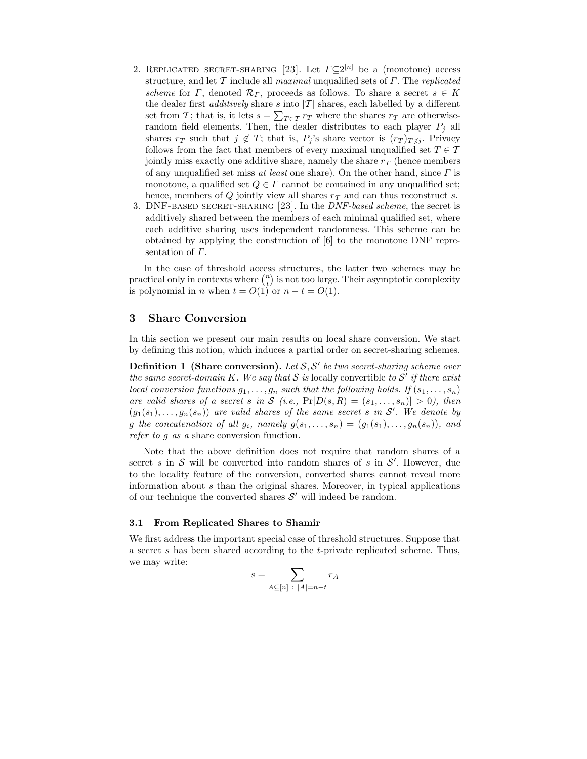- 2. REPLICATED SECRET-SHARING [23]. Let  $\Gamma \subseteq 2^{[n]}$  be a (monotone) access structure, and let  $\mathcal T$  include all maximal unqualified sets of  $\Gamma$ . The replicated scheme for Γ, denoted  $\mathcal{R}_{\Gamma}$ , proceeds as follows. To share a secret  $s \in K$ the dealer first *additively* share s into  $|T|$  shares, each labelled by a different set from T; that is, it lets  $s = \sum_{T \in \mathcal{T}} r_T$  where the shares  $r_T$  are otherwiserandom field elements. Then, the dealer distributes to each player  $P_j$  all shares  $r_T$  such that  $j \notin T$ ; that is,  $P_j$ 's share vector is  $(r_T)_{T \not\ni j}$ . Privacy follows from the fact that members of every maximal unqualified set  $T \in \mathcal{T}$ jointly miss exactly one additive share, namely the share  $r<sub>T</sub>$  (hence members of any unqualified set miss at least one share). On the other hand, since  $\Gamma$  is monotone, a qualified set  $Q \in \Gamma$  cannot be contained in any unqualified set; hence, members of  $Q$  jointly view all shares  $r<sub>T</sub>$  and can thus reconstruct s.
- 3. DNF-based secret-sharing [23]. In the DNF-based scheme, the secret is additively shared between the members of each minimal qualified set, where each additive sharing uses independent randomness. This scheme can be obtained by applying the construction of [6] to the monotone DNF representation of Γ.

In the case of threshold access structures, the latter two schemes may be practical only in contexts where  $\binom{n}{t}$  is not too large. Their asymptotic complexity is polynomial in *n* when  $t = O(1)$  or  $n - t = O(1)$ .

## 3 Share Conversion

In this section we present our main results on local share conversion. We start by defining this notion, which induces a partial order on secret-sharing schemes.

**Definition 1 (Share conversion).** Let  $S$ ,  $S'$  be two secret-sharing scheme over the same secret-domain K. We say that S is locally convertible to S' if there exist local conversion functions  $g_1, \ldots, g_n$  such that the following holds. If  $(s_1, \ldots, s_n)$ are valid shares of a secret s in S (i.e.,  $Pr[D(s, R) = (s_1, \ldots, s_n)] > 0$ ), then  $(g_1(s_1),...,g_n(s_n))$  are valid shares of the same secret s in S'. We denote by g the concatenation of all  $g_i$ , namely  $g(s_1, \ldots, s_n) = (g_1(s_1), \ldots, g_n(s_n))$ , and refer to g as a share conversion function.

Note that the above definition does not require that random shares of a secret s in  $S$  will be converted into random shares of s in  $S'$ . However, due to the locality feature of the conversion, converted shares cannot reveal more information about s than the original shares. Moreover, in typical applications of our technique the converted shares  $S'$  will indeed be random.

### 3.1 From Replicated Shares to Shamir

We first address the important special case of threshold structures. Suppose that a secret s has been shared according to the t-private replicated scheme. Thus, we may write:

$$
s = \sum_{A \subseteq [n] \; : \; |A| = n-t} r_A
$$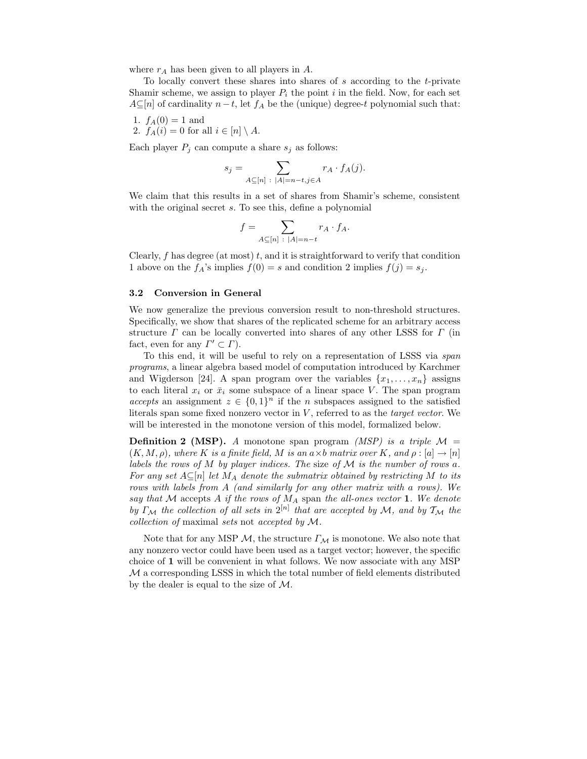where  $r_A$  has been given to all players in A.

To locally convert these shares into shares of  $s$  according to the  $t$ -private Shamir scheme, we assign to player  $P_i$  the point i in the field. Now, for each set  $A\subseteq[n]$  of cardinality  $n-t$ , let  $f_A$  be the (unique) degree-t polynomial such that:

- 1.  $f_A(0) = 1$  and
- 2.  $f_A(i) = 0$  for all  $i \in [n] \setminus A$ .

Each player  $P_i$  can compute a share  $s_i$  as follows:

$$
s_j = \sum_{A \subseteq [n] \; : \; |A| = n-t, j \in A} r_A \cdot f_A(j).
$$

We claim that this results in a set of shares from Shamir's scheme, consistent with the original secret s. To see this, define a polynomial

$$
f = \sum_{A \subseteq [n] \; : \; |A| = n - t} r_A \cdot f_A.
$$

Clearly,  $f$  has degree (at most)  $t$ , and it is straightforward to verify that condition 1 above on the  $f_A$ 's implies  $f(0) = s$  and condition 2 implies  $f(j) = s_j$ .

#### 3.2 Conversion in General

We now generalize the previous conversion result to non-threshold structures. Specifically, we show that shares of the replicated scheme for an arbitrary access structure  $\Gamma$  can be locally converted into shares of any other LSSS for  $\Gamma$  (in fact, even for any  $\Gamma' \subset \Gamma$ ).

To this end, it will be useful to rely on a representation of LSSS via span programs, a linear algebra based model of computation introduced by Karchmer and Wigderson [24]. A span program over the variables  $\{x_1, \ldots, x_n\}$  assigns to each literal  $x_i$  or  $\bar{x}_i$  some subspace of a linear space V. The span program accepts an assignment  $z \in \{0,1\}^n$  if the n subspaces assigned to the satisfied literals span some fixed nonzero vector in  $V$ , referred to as the *target vector*. We will be interested in the monotone version of this model, formalized below.

**Definition 2 (MSP).** A monotone span program *(MSP)* is a triple  $M =$  $(K, M, \rho)$ , where K is a finite field, M is an  $a \times b$  matrix over K, and  $\rho : [a] \to [n]$ labels the rows of M by player indices. The size of  $\mathcal M$  is the number of rows a. For any set  $A\subseteq[n]$  let  $M_A$  denote the submatrix obtained by restricting M to its rows with labels from A (and similarly for any other matrix with a rows). We say that  $M$  accepts  $A$  if the rows of  $M_A$  span the all-ones vector 1. We denote by  $\Gamma_{\mathcal{M}}$  the collection of all sets in  $2^{[n]}$  that are accepted by M, and by  $\mathcal{T}_{\mathcal{M}}$  the collection of maximal sets not accepted by M.

Note that for any MSP  $M$ , the structure  $\Gamma_M$  is monotone. We also note that any nonzero vector could have been used as a target vector; however, the specific choice of 1 will be convenient in what follows. We now associate with any MSP M a corresponding LSSS in which the total number of field elements distributed by the dealer is equal to the size of  $M$ .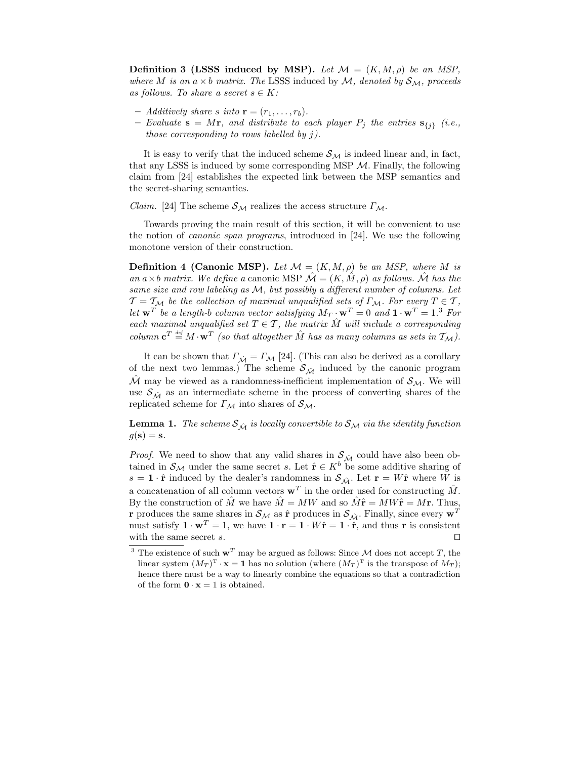Definition 3 (LSSS induced by MSP). Let  $\mathcal{M} = (K, M, \rho)$  be an MSP, where M is an  $a \times b$  matrix. The LSSS induced by M, denoted by  $S_M$ , proceeds as follows. To share a secret  $s \in K$ :

- Additively share s into  $\mathbf{r} = (r_1, \ldots, r_b)$ .
- Evaluate  $s = Mr$ , and distribute to each player  $P_j$  the entries  $s_{\{j\}}$  (i.e., those corresponding to rows labelled by  $j$ ).

It is easy to verify that the induced scheme  $\mathcal{S}_{\mathcal{M}}$  is indeed linear and, in fact, that any LSSS is induced by some corresponding MSP  $\mathcal M.$  Finally, the following claim from [24] establishes the expected link between the MSP semantics and the secret-sharing semantics.

*Claim.* [24] The scheme  $S_M$  realizes the access structure  $\Gamma_M$ .

Towards proving the main result of this section, it will be convenient to use the notion of canonic span programs, introduced in [24]. We use the following monotone version of their construction.

**Definition 4 (Canonic MSP).** Let  $\mathcal{M} = (K, M, \rho)$  be an MSP, where M is an  $a \times b$  matrix. We define a canonic MSP  $\mathcal{M} = (K, \hat{M}, \rho)$  as follows.  $\hat{\mathcal{M}}$  has the same size and row labeling as M, but possibly a different number of columns. Let  $\mathcal{T} = \mathcal{T}_{\mathcal{M}}$  be the collection of maximal unqualified sets of  $\Gamma_{\mathcal{M}}$ . For every  $T \in \mathcal{T}$ , let  $\mathbf{w}^T$  be a length-b column vector satisfying  $M_T \cdot \mathbf{w}^T = 0$  and  $\mathbf{1} \cdot \mathbf{w}^T = 1$ .<sup>3</sup> For each maximal unqualified set  $T \in \mathcal{T}$ , the matrix  $\hat{M}$  will include a corresponding column  $\mathbf{c}^T \stackrel{\text{\tiny def}}{=} M \cdot \mathbf{w}^T$  (so that altogether  $\hat{M}$  has as many columns as sets in  $\mathcal{T}_{\mathcal{M}}$ ).

It can be shown that  $\Gamma_{\hat{\mathcal{M}}} = \Gamma_{\mathcal{M}}$  [24]. (This can also be derived as a corollary of the next two lemmas.) The scheme  $\mathcal{S}_{\hat{\mathcal{M}}}$  induced by the canonic program M may be viewed as a randomness-inefficient implementation of  $\mathcal{S}_{\mathcal{M}}$ . We will use  $S_{\hat{M}}$  as an intermediate scheme in the process of converting shares of the replicated scheme for  $\Gamma_{\mathcal{M}}$  into shares of  $\mathcal{S}_{\mathcal{M}}$ .

**Lemma 1.** The scheme  $S_{\hat{M}}$  is locally convertible to  $S_M$  via the identity function  $g(\mathbf{s}) = \mathbf{s}$ .

*Proof.* We need to show that any valid shares in  $\mathcal{S}_{\hat{\mathcal{M}}}$  could have also been obtained in  $\mathcal{S}_{\mathcal{M}}$  under the same secret s. Let  $\hat{\mathbf{r}} \in K^b$  be some additive sharing of  $s = 1 \cdot \hat{\mathbf{r}}$  induced by the dealer's randomness in  $\mathcal{S}_{\hat{\mathcal{M}}}$ . Let  $\mathbf{r} = W\hat{\mathbf{r}}$  where W is a concatenation of all column vectors  $\mathbf{w}^T$  in the order used for constructing  $\hat{M}$ . By the construction of  $\hat{M}$  we have  $\hat{M} = MW$  and so  $\hat{M}\hat{\mathbf{r}} = MW\hat{\mathbf{r}} = MV$ . Thus, **r** produces the same shares in  $\mathcal{S}_{\mathcal{M}}$  as  $\hat{\mathbf{r}}$  produces in  $\mathcal{S}_{\hat{\mathcal{M}}}$ . Finally, since every  $\mathbf{w}^T$ must satisfy  $1 \cdot \mathbf{w}^T = 1$ , we have  $1 \cdot \mathbf{r} = 1 \cdot W\hat{\mathbf{r}} = 1 \cdot \hat{\mathbf{r}}$ , and thus r is consistent with the same secret s.  $\square$ 

<sup>&</sup>lt;sup>3</sup> The existence of such  $\mathbf{w}^T$  may be argued as follows: Since  $\mathcal M$  does not accept  $T$ , the linear system  $(M_T)^T \cdot \mathbf{x} = 1$  has no solution (where  $(M_T)^T$  is the transpose of  $M_T$ ); hence there must be a way to linearly combine the equations so that a contradiction of the form  $\mathbf{0} \cdot \mathbf{x} = 1$  is obtained.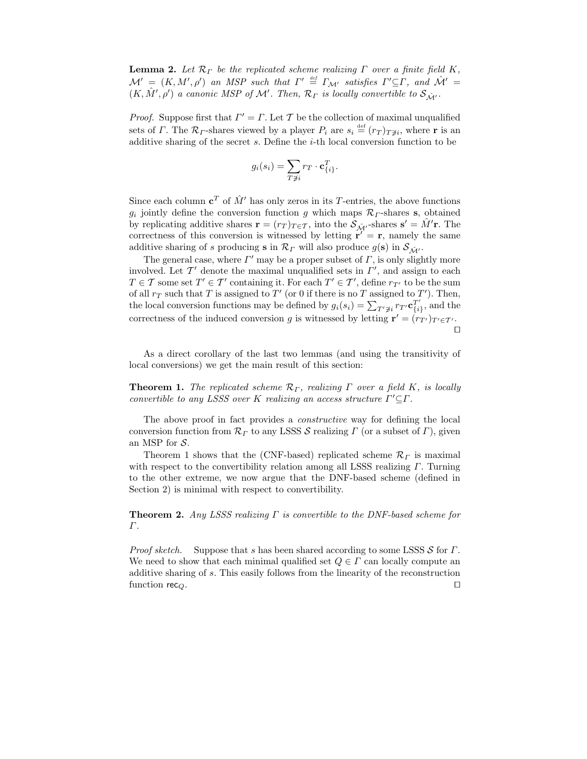**Lemma 2.** Let  $\mathcal{R}_{\Gamma}$  be the replicated scheme realizing  $\Gamma$  over a finite field K,  $\mathcal{M}' = (K, M', \rho')$  an MSP such that  $\Gamma' \stackrel{\text{\tiny def}}{=} \Gamma_{\mathcal{M}'}$  satisfies  $\Gamma' \subseteq \Gamma$ , and  $\hat{\mathcal{M}}' =$  $(K, \hat{M}', \rho')$  a canonic MSP of M'. Then,  $\mathcal{R}_{\Gamma}$  is locally convertible to  $\mathcal{S}_{\hat{\mathcal{M}}'}$ .

*Proof.* Suppose first that  $\Gamma' = \Gamma$ . Let T be the collection of maximal unqualified sets of *Γ*. The  $\mathcal{R}_\Gamma$ -shares viewed by a player  $P_i$  are  $s_i \stackrel{\text{def}}{=} (r_T)_{T \not\ni i}$ , where **r** is an additive sharing of the secret  $s$ . Define the  $i$ -th local conversion function to be

$$
g_i(s_i) = \sum_{T \not\ni i} r_T \cdot \mathbf{c}_{\{i\}}^T.
$$

Since each column  $\mathbf{c}^T$  of  $\hat{M}'$  has only zeros in its T-entries, the above functions  $q_i$  jointly define the conversion function q which maps  $\mathcal{R}_\Gamma$ -shares s, obtained by replicating additive shares  $\mathbf{r} = (r_T)_{T \in \mathcal{T}}$ , into the  $\mathcal{S}_{\hat{\mathcal{M}}'}$ -shares  $\mathbf{s}' = \hat{M}'\mathbf{r}$ . The correctness of this conversion is witnessed by letting  $\mathbf{r}' = \mathbf{r}$ , namely the same additive sharing of s producing s in  $\mathcal{R}_{\Gamma}$  will also produce  $g(\mathbf{s})$  in  $\mathcal{S}_{\hat{\mathcal{M}}'}$ .

The general case, where  $\Gamma'$  may be a proper subset of  $\Gamma$ , is only slightly more involved. Let  $\mathcal{T}'$  denote the maximal unqualified sets in  $\Gamma'$ , and assign to each  $T \in \mathcal{T}$  some set  $T' \in \mathcal{T}'$  containing it. For each  $T' \in \mathcal{T}'$ , define  $r_{T'}$  to be the sum of all  $r_T$  such that T is assigned to T' (or 0 if there is no T assigned to T'). Then, the local conversion functions may be defined by  $g_i(s_i) = \sum_{T' \not\supset i} r_{T'} \mathbf{c}_{\{i\}}^{T'}$ , and the correctness of the induced conversion g is witnessed by letting  $\mathbf{r}' = (r_{T'})_{T' \in T'}$ .  $\Box$ 

As a direct corollary of the last two lemmas (and using the transitivity of local conversions) we get the main result of this section:

**Theorem 1.** The replicated scheme  $\mathcal{R}_{\Gamma}$ , realizing  $\Gamma$  over a field K, is locally convertible to any LSSS over K realizing an access structure  $\Gamma' \subseteq \Gamma$ .

The above proof in fact provides a *constructive* way for defining the local conversion function from  $\mathcal{R}_{\Gamma}$  to any LSSS S realizing  $\Gamma$  (or a subset of  $\Gamma$ ), given an MSP for  $S$ .

Theorem 1 shows that the (CNF-based) replicated scheme  $\mathcal{R}_{\Gamma}$  is maximal with respect to the convertibility relation among all LSSS realizing  $\Gamma$ . Turning to the other extreme, we now argue that the DNF-based scheme (defined in Section 2) is minimal with respect to convertibility.

**Theorem 2.** Any LSSS realizing  $\Gamma$  is convertible to the DNF-based scheme for Γ.

*Proof sketch.* Suppose that s has been shared according to some LSSS  $S$  for  $\Gamma$ . We need to show that each minimal qualified set  $Q \in \Gamma$  can locally compute an additive sharing of s. This easily follows from the linearity of the reconstruction function  $\mathsf{rec}_Q$ .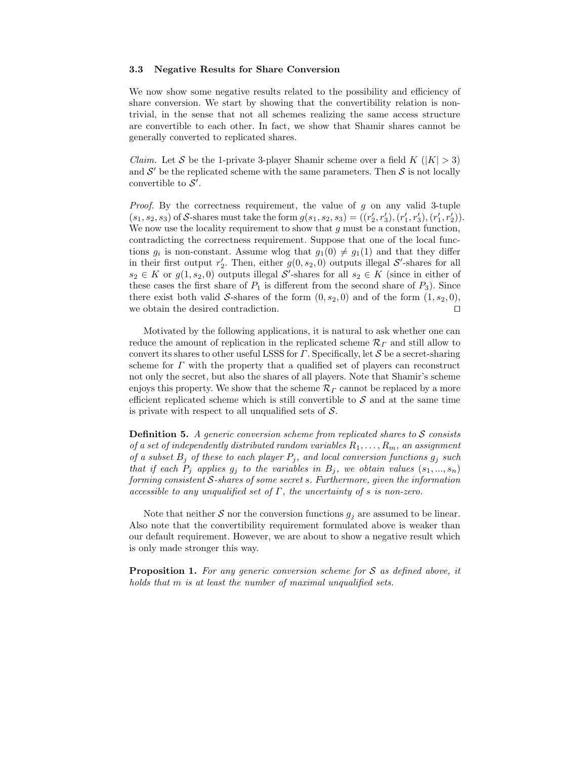#### 3.3 Negative Results for Share Conversion

We now show some negative results related to the possibility and efficiency of share conversion. We start by showing that the convertibility relation is nontrivial, in the sense that not all schemes realizing the same access structure are convertible to each other. In fact, we show that Shamir shares cannot be generally converted to replicated shares.

*Claim.* Let S be the 1-private 3-player Shamir scheme over a field  $K(|K| > 3)$ and  $\mathcal{S}'$  be the replicated scheme with the same parameters. Then  $\mathcal{S}$  is not locally convertible to  $S'$ .

*Proof.* By the correctness requirement, the value of  $g$  on any valid 3-tuple  $(s_1, s_2, s_3)$  of S-shares must take the form  $g(s_1, s_2, s_3) = ((r'_2, r'_3), (r'_1, r'_3), (r'_1, r'_2)).$ We now use the locality requirement to show that  $g$  must be a constant function, contradicting the correctness requirement. Suppose that one of the local functions  $g_i$  is non-constant. Assume wlog that  $g_1(0) \neq g_1(1)$  and that they differ in their first output  $r'_2$ . Then, either  $g(0, s_2, 0)$  outputs illegal  $\mathcal{S}'$ -shares for all  $s_2 \in K$  or  $g(1, s_2, 0)$  outputs illegal S'-shares for all  $s_2 \in K$  (since in either of these cases the first share of  $P_1$  is different from the second share of  $P_3$ ). Since there exist both valid S-shares of the form  $(0, s_2, 0)$  and of the form  $(1, s_2, 0)$ , we obtain the desired contradiction.  $\Box$ 

Motivated by the following applications, it is natural to ask whether one can reduce the amount of replication in the replicated scheme  $\mathcal{R}_{\Gamma}$  and still allow to convert its shares to other useful LSSS for  $\Gamma$ . Specifically, let S be a secret-sharing scheme for  $\Gamma$  with the property that a qualified set of players can reconstruct not only the secret, but also the shares of all players. Note that Shamir's scheme enjoys this property. We show that the scheme  $\mathcal{R}_{\Gamma}$  cannot be replaced by a more efficient replicated scheme which is still convertible to  $\mathcal S$  and at the same time is private with respect to all unqualified sets of  $S$ .

**Definition 5.** A generic conversion scheme from replicated shares to  $S$  consists of a set of independently distributed random variables  $R_1, \ldots, R_m$ , an assignment of a subset  $B_j$  of these to each player  $P_j$ , and local conversion functions  $g_j$  such that if each  $P_j$  applies  $g_j$  to the variables in  $B_j$ , we obtain values  $(s_1, ..., s_n)$ forming consistent  $S$ -shares of some secret s. Furthermore, given the information accessible to any unqualified set of  $\Gamma$ , the uncertainty of s is non-zero.

Note that neither S nor the conversion functions  $g_j$  are assumed to be linear. Also note that the convertibility requirement formulated above is weaker than our default requirement. However, we are about to show a negative result which is only made stronger this way.

**Proposition 1.** For any generic conversion scheme for S as defined above, it holds that m is at least the number of maximal unqualified sets.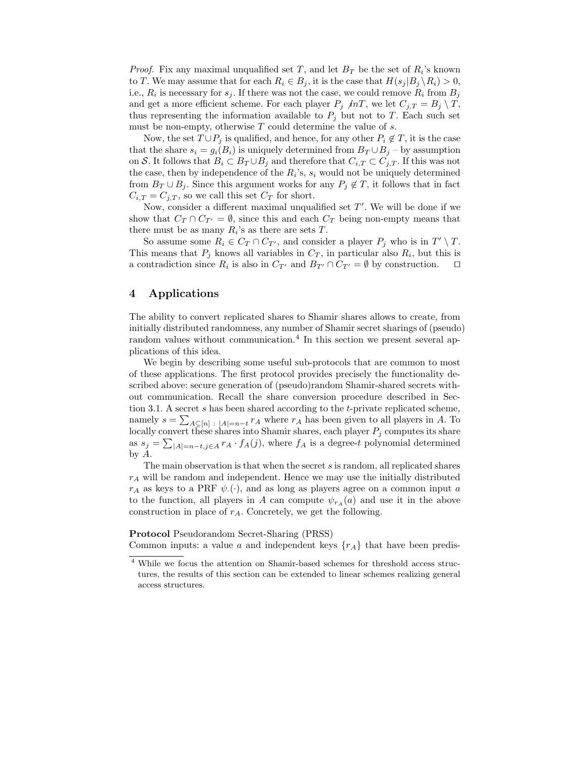*Proof.* Fix any maximal unqualified set T, and let  $B_T$  be the set of  $R_i$ 's known to T. We may assume that for each  $R_i \in B_j$ , it is the case that  $H(s_j | B_j \setminus R_i) > 0$ , i.e.,  $R_i$  is necessary for  $s_j$ . If there was not the case, we could remove  $R_i$  from  $B_j$ and get a more efficient scheme. For each player  $P_j$   $\jmath nT$ , we let  $C_{j,T} = B_j \setminus T$ , thus representing the information available to  $P_j$  but not to T. Each such set must be non-empty, otherwise  $T$  could determine the value of  $s$ .

Now, the set  $T \cup P_j$  is qualified, and hence, for any other  $P_i \notin T$ , it is the case that the share  $s_i = g_i(B_i)$  is uniquely determined from  $B_T \cup B_j$  – by assumption on S. It follows that  $B_i \subset B_T \cup B_j$  and therefore that  $C_{i,T} \subset C_{j,T}$ . If this was not the case, then by independence of the  $R_i$ 's,  $s_i$  would not be uniquely determined from  $B_T \cup B_j$ . Since this argument works for any  $P_j \notin T$ , it follows that in fact  $C_{i,T} = C_{i,T}$ , so we call this set  $C_T$  for short.

Now, consider a different maximal unqualified set  $T'$ . We will be done if we show that  $C_T \cap C_{T'} = \emptyset$ , since this and each  $C_T$  being non-empty means that there must be as many  $R_i$ 's as there are sets  $T$ .

So assume some  $R_i \in C_T \cap C_{T'}$ , and consider a player  $P_j$  who is in  $T' \setminus T$ . This means that  $P_j$  knows all variables in  $C_T$ , in particular also  $R_i$ , but this is a contradiction since  $R_i$  is also in  $C_{T'}$  and  $B_{T'} \cap C_{T'} = \emptyset$  by construction.  $\Box$ 

## 4 Applications

The ability to convert replicated shares to Shamir shares allows to create, from initially distributed randomness, any number of Shamir secret sharings of (pseudo) random values without communication.<sup>4</sup> In this section we present several applications of this idea.

We begin by describing some useful sub-protocols that are common to most of these applications. The first protocol provides precisely the functionality described above: secure generation of (pseudo)random Shamir-shared secrets without communication. Recall the share conversion procedure described in Section 3.1. A secret s has been shared according to the t-private replicated scheme, namely  $s = \sum_{A \subseteq [n]} \frac{1}{A} = 1 - t^T A$  where  $r_A$  has been given to all players in A. To locally convert these shares into Shamir shares, each player  $P_j$  computes its share as  $s_j = \sum_{|A|=n-t, j \in A} r_A \cdot f_A(j)$ , where  $f_A$  is a degree-t polynomial determined by A.

The main observation is that when the secret s is random, all replicated shares  $r_A$  will be random and independent. Hence we may use the initially distributed  $r_A$  as keys to a PRF  $\psi$ . (.), and as long as players agree on a common input a to the function, all players in A can compute  $\psi_{r_A}(a)$  and use it in the above construction in place of  $r_A$ . Concretely, we get the following.

Protocol Pseudorandom Secret-Sharing (PRSS)

Common inputs: a value a and independent keys  $\{r_A\}$  that have been predis-

 $^4$  While we focus the attention on Shamir-based schemes for threshold access structures, the results of this section can be extended to linear schemes realizing general access structures.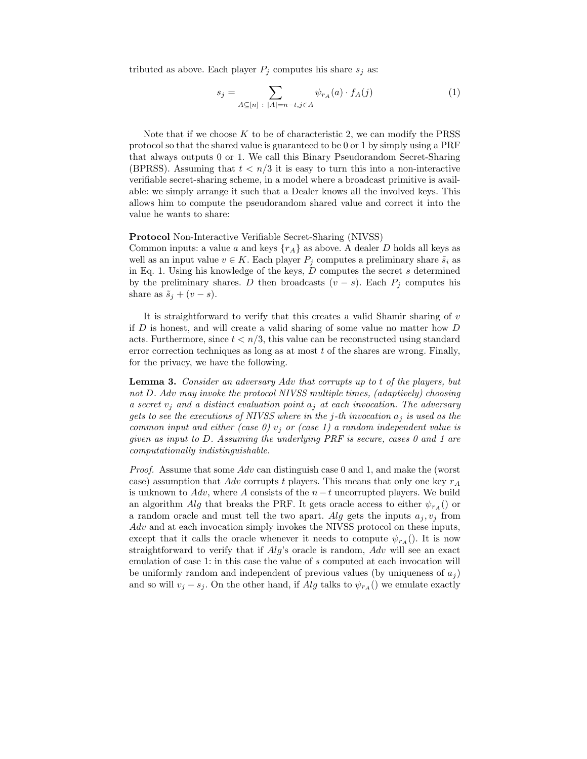tributed as above. Each player  $P_j$  computes his share  $s_j$  as:

$$
s_j = \sum_{A \subseteq [n] \; : \; |A| = n - t, j \in A} \psi_{r_A}(a) \cdot f_A(j) \tag{1}
$$

Note that if we choose  $K$  to be of characteristic 2, we can modify the PRSS protocol so that the shared value is guaranteed to be 0 or 1 by simply using a PRF that always outputs 0 or 1. We call this Binary Pseudorandom Secret-Sharing (BPRSS). Assuming that  $t < n/3$  it is easy to turn this into a non-interactive verifiable secret-sharing scheme, in a model where a broadcast primitive is available: we simply arrange it such that a Dealer knows all the involved keys. This allows him to compute the pseudorandom shared value and correct it into the value he wants to share:

Protocol Non-Interactive Verifiable Secret-Sharing (NIVSS)

Common inputs: a value a and keys  $\{r_A\}$  as above. A dealer D holds all keys as well as an input value  $v \in K$ . Each player  $P_j$  computes a preliminary share  $\tilde{s}_i$  as in Eq. 1. Using his knowledge of the keys,  $D$  computes the secret  $s$  determined by the preliminary shares. D then broadcasts  $(v - s)$ . Each  $P_j$  computes his share as  $\tilde{s}_j + (v - s)$ .

It is straightforward to verify that this creates a valid Shamir sharing of  $v$ if D is honest, and will create a valid sharing of some value no matter how D acts. Furthermore, since  $t < n/3$ , this value can be reconstructed using standard error correction techniques as long as at most  $t$  of the shares are wrong. Finally, for the privacy, we have the following.

Lemma 3. Consider an adversary Adv that corrupts up to t of the players, but not D. Adv may invoke the protocol NIVSS multiple times, (adaptively) choosing a secret  $v_j$  and a distinct evaluation point  $a_j$  at each invocation. The adversary gets to see the executions of NIVSS where in the j-th invocation  $a_i$  is used as the common input and either (case 0)  $v_j$  or (case 1) a random independent value is given as input to D. Assuming the underlying PRF is secure, cases  $\theta$  and  $\theta$  are computationally indistinguishable.

*Proof.* Assume that some  $Adv$  can distinguish case 0 and 1, and make the (worst case) assumption that Adv corrupts t players. This means that only one key  $r_A$ is unknown to  $Adv$ , where A consists of the  $n-t$  uncorrupted players. We build an algorithm Alg that breaks the PRF. It gets oracle access to either  $\psi_{r_A}$  () or a random oracle and must tell the two apart. Alg gets the inputs  $a_j, v_j$  from Adv and at each invocation simply invokes the NIVSS protocol on these inputs, except that it calls the oracle whenever it needs to compute  $\psi_{r_A}$  (). It is now straightforward to verify that if  $Alg$ 's oracle is random,  $Adv$  will see an exact emulation of case 1: in this case the value of s computed at each invocation will be uniformly random and independent of previous values (by uniqueness of  $a_i$ ) and so will  $v_j - s_j$ . On the other hand, if Alg talks to  $\psi_{r_A}$  () we emulate exactly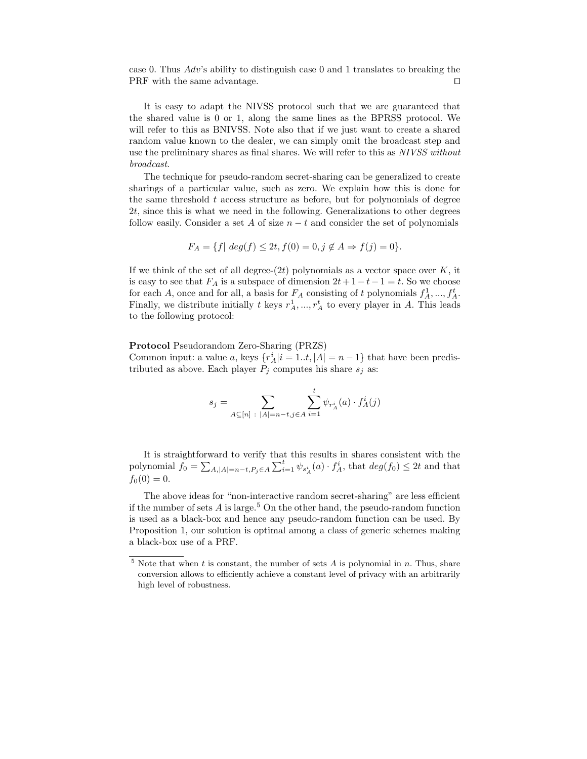case 0. Thus Adv's ability to distinguish case 0 and 1 translates to breaking the PRF with the same advantage.  $\square$ 

It is easy to adapt the NIVSS protocol such that we are guaranteed that the shared value is 0 or 1, along the same lines as the BPRSS protocol. We will refer to this as BNIVSS. Note also that if we just want to create a shared random value known to the dealer, we can simply omit the broadcast step and use the preliminary shares as final shares. We will refer to this as NIVSS without broadcast.

The technique for pseudo-random secret-sharing can be generalized to create sharings of a particular value, such as zero. We explain how this is done for the same threshold t access structure as before, but for polynomials of degree 2t, since this is what we need in the following. Generalizations to other degrees follow easily. Consider a set A of size  $n - t$  and consider the set of polynomials

$$
F_A = \{ f | \deg(f) \le 2t, f(0) = 0, j \notin A \Rightarrow f(j) = 0 \}.
$$

If we think of the set of all degree- $(2t)$  polynomials as a vector space over K, it is easy to see that  $F_A$  is a subspace of dimension  $2t+1-t-1 = t$ . So we choose for each A, once and for all, a basis for  $F_A$  consisting of t polynomials  $f_A^1, ..., f_A^t$ . Finally, we distribute initially t keys  $r_A^1, ..., r_A^t$  to every player in A. This leads to the following protocol:

Protocol Pseudorandom Zero-Sharing (PRZS)

Common input: a value a, keys  $\{r_A^i | i = 1..t, |A| = n - 1\}$  that have been predistributed as above. Each player  $P_i$  computes his share  $s_i$  as:

$$
s_j = \sum_{A\subseteq [n] \text{ : } |A|=n-t, j\in A} \sum_{i=1}^t \psi_{r_A^i}(a)\cdot f_A^i(j)
$$

It is straightforward to verify that this results in shares consistent with the polynomial  $f_0 = \sum_{A, |A|=n-t, P_j \in A} \sum_{i=1}^t \psi_{s_A^i}(a) \cdot f_A^i$ , that  $deg(f_0) \leq 2t$  and that  $f_0(0) = 0.$ 

The above ideas for "non-interactive random secret-sharing" are less efficient if the number of sets  $A$  is large.<sup>5</sup> On the other hand, the pseudo-random function is used as a black-box and hence any pseudo-random function can be used. By Proposition 1, our solution is optimal among a class of generic schemes making a black-box use of a PRF.

 $5$  Note that when t is constant, the number of sets A is polynomial in n. Thus, share conversion allows to efficiently achieve a constant level of privacy with an arbitrarily high level of robustness.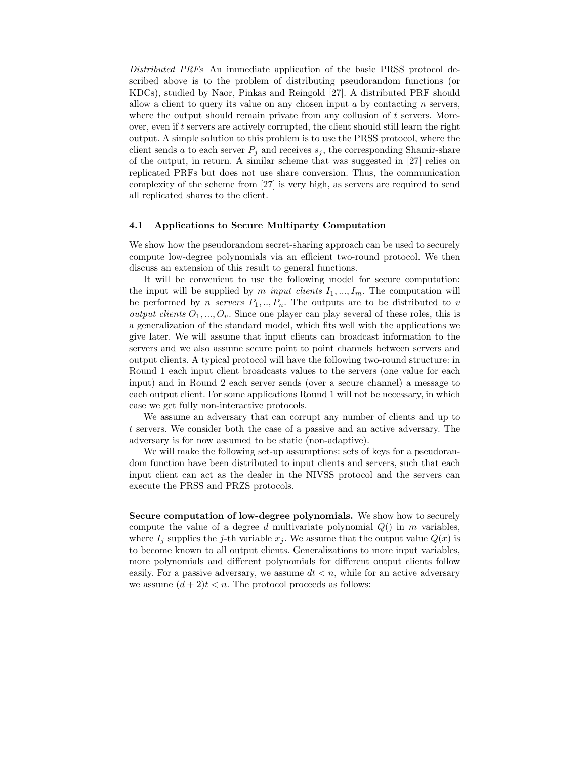Distributed PRFs An immediate application of the basic PRSS protocol described above is to the problem of distributing pseudorandom functions (or KDCs), studied by Naor, Pinkas and Reingold [27]. A distributed PRF should allow a client to query its value on any chosen input  $a$  by contacting  $n$  servers, where the output should remain private from any collusion of  $t$  servers. Moreover, even if  $t$  servers are actively corrupted, the client should still learn the right output. A simple solution to this problem is to use the PRSS protocol, where the client sends a to each server  $P_j$  and receives  $s_j$ , the corresponding Shamir-share of the output, in return. A similar scheme that was suggested in [27] relies on replicated PRFs but does not use share conversion. Thus, the communication complexity of the scheme from [27] is very high, as servers are required to send all replicated shares to the client.

#### 4.1 Applications to Secure Multiparty Computation

We show how the pseudorandom secret-sharing approach can be used to securely compute low-degree polynomials via an efficient two-round protocol. We then discuss an extension of this result to general functions.

It will be convenient to use the following model for secure computation: the input will be supplied by m input clients  $I_1, ..., I_m$ . The computation will be performed by *n servers*  $P_1, ..., P_n$ . The outputs are to be distributed to *v output clients*  $O_1, ..., O_v$ . Since one player can play several of these roles, this is a generalization of the standard model, which fits well with the applications we give later. We will assume that input clients can broadcast information to the servers and we also assume secure point to point channels between servers and output clients. A typical protocol will have the following two-round structure: in Round 1 each input client broadcasts values to the servers (one value for each input) and in Round 2 each server sends (over a secure channel) a message to each output client. For some applications Round 1 will not be necessary, in which case we get fully non-interactive protocols.

We assume an adversary that can corrupt any number of clients and up to t servers. We consider both the case of a passive and an active adversary. The adversary is for now assumed to be static (non-adaptive).

We will make the following set-up assumptions: sets of keys for a pseudorandom function have been distributed to input clients and servers, such that each input client can act as the dealer in the NIVSS protocol and the servers can execute the PRSS and PRZS protocols.

Secure computation of low-degree polynomials. We show how to securely compute the value of a degree d multivariate polynomial  $Q()$  in m variables, where  $I_i$  supplies the j-th variable  $x_i$ . We assume that the output value  $Q(x)$  is to become known to all output clients. Generalizations to more input variables, more polynomials and different polynomials for different output clients follow easily. For a passive adversary, we assume  $dt < n$ , while for an active adversary we assume  $(d+2)t < n$ . The protocol proceeds as follows: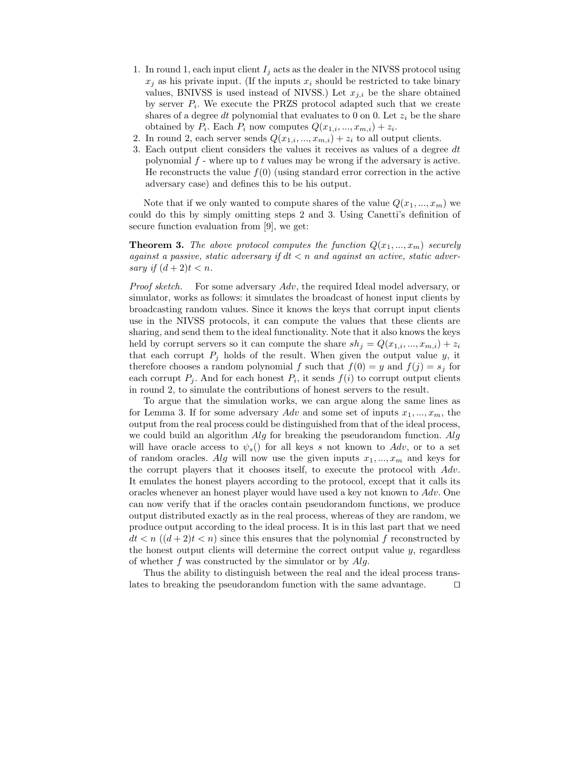- 1. In round 1, each input client  $I_i$  acts as the dealer in the NIVSS protocol using  $x_j$  as his private input. (If the inputs  $x_i$  should be restricted to take binary values, BNIVSS is used instead of NIVSS.) Let  $x_{i,i}$  be the share obtained by server  $P_i$ . We execute the PRZS protocol adapted such that we create shares of a degree dt polynomial that evaluates to 0 on 0. Let  $z_i$  be the share obtained by  $P_i$ . Each  $P_i$  now computes  $Q(x_{1,i},...,x_{m,i}) + z_i$ .
- 2. In round 2, each server sends  $Q(x_{1,i},...,x_{m,i}) + z_i$  to all output clients.
- 3. Each output client considers the values it receives as values of a degree  $dt$ polynomial  $f$  - where up to  $t$  values may be wrong if the adversary is active. He reconstructs the value  $f(0)$  (using standard error correction in the active adversary case) and defines this to be his output.

Note that if we only wanted to compute shares of the value  $Q(x_1, ..., x_m)$  we could do this by simply omitting steps 2 and 3. Using Canetti's definition of secure function evaluation from [9], we get:

**Theorem 3.** The above protocol computes the function  $Q(x_1, ..., x_m)$  securely against a passive, static adversary if  $dt < n$  and against an active, static adversary if  $(d+2)t < n$ .

Proof sketch. For some adversary Adv, the required Ideal model adversary, or simulator, works as follows: it simulates the broadcast of honest input clients by broadcasting random values. Since it knows the keys that corrupt input clients use in the NIVSS protocols, it can compute the values that these clients are sharing, and send them to the ideal functionality. Note that it also knows the keys held by corrupt servers so it can compute the share  $sh_j = Q(x_{1,i},...,x_{m,i}) + z_i$ that each corrupt  $P_j$  holds of the result. When given the output value y, it therefore chooses a random polynomial f such that  $f(0) = y$  and  $f(j) = s_j$  for each corrupt  $P_j$ . And for each honest  $P_i$ , it sends  $f(i)$  to corrupt output clients in round 2, to simulate the contributions of honest servers to the result.

To argue that the simulation works, we can argue along the same lines as for Lemma 3. If for some adversary  $Adv$  and some set of inputs  $x_1, ..., x_m$ , the output from the real process could be distinguished from that of the ideal process, we could build an algorithm *Alg* for breaking the pseudorandom function. Alg will have oracle access to  $\psi_s$ ) for all keys s not known to  $Adv$ , or to a set of random oracles. Alg will now use the given inputs  $x_1, ..., x_m$  and keys for the corrupt players that it chooses itself, to execute the protocol with Adv. It emulates the honest players according to the protocol, except that it calls its oracles whenever an honest player would have used a key not known to Adv. One can now verify that if the oracles contain pseudorandom functions, we produce output distributed exactly as in the real process, whereas of they are random, we produce output according to the ideal process. It is in this last part that we need  $dt < n$   $((d+2)t < n)$  since this ensures that the polynomial f reconstructed by the honest output clients will determine the correct output value  $y$ , regardless of whether f was constructed by the simulator or by  $Alq$ .

Thus the ability to distinguish between the real and the ideal process translates to breaking the pseudorandom function with the same advantage.  $\Box$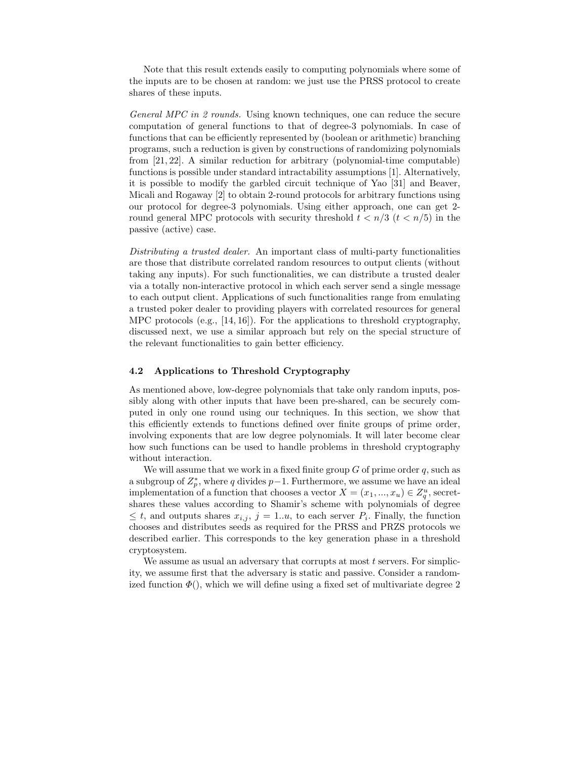Note that this result extends easily to computing polynomials where some of the inputs are to be chosen at random: we just use the PRSS protocol to create shares of these inputs.

General MPC in 2 rounds. Using known techniques, one can reduce the secure computation of general functions to that of degree-3 polynomials. In case of functions that can be efficiently represented by (boolean or arithmetic) branching programs, such a reduction is given by constructions of randomizing polynomials from [21, 22]. A similar reduction for arbitrary (polynomial-time computable) functions is possible under standard intractability assumptions [1]. Alternatively, it is possible to modify the garbled circuit technique of Yao [31] and Beaver, Micali and Rogaway [2] to obtain 2-round protocols for arbitrary functions using our protocol for degree-3 polynomials. Using either approach, one can get 2 round general MPC protocols with security threshold  $t < n/3$  ( $t < n/5$ ) in the passive (active) case.

Distributing a trusted dealer. An important class of multi-party functionalities are those that distribute correlated random resources to output clients (without taking any inputs). For such functionalities, we can distribute a trusted dealer via a totally non-interactive protocol in which each server send a single message to each output client. Applications of such functionalities range from emulating a trusted poker dealer to providing players with correlated resources for general MPC protocols (e.g., [14, 16]). For the applications to threshold cryptography, discussed next, we use a similar approach but rely on the special structure of the relevant functionalities to gain better efficiency.

#### 4.2 Applications to Threshold Cryptography

As mentioned above, low-degree polynomials that take only random inputs, possibly along with other inputs that have been pre-shared, can be securely computed in only one round using our techniques. In this section, we show that this efficiently extends to functions defined over finite groups of prime order, involving exponents that are low degree polynomials. It will later become clear how such functions can be used to handle problems in threshold cryptography without interaction.

We will assume that we work in a fixed finite group  $G$  of prime order  $q$ , such as a subgroup of  $Z_p^*$ , where q divides  $p-1$ . Furthermore, we assume we have an ideal implementation of a function that chooses a vector  $X = (x_1, ..., x_u) \in Z_q^u$ , secretshares these values according to Shamir's scheme with polynomials of degree  $\leq t$ , and outputs shares  $x_{i,j}$ ,  $j = 1..u$ , to each server  $P_i$ . Finally, the function chooses and distributes seeds as required for the PRSS and PRZS protocols we described earlier. This corresponds to the key generation phase in a threshold cryptosystem.

We assume as usual an adversary that corrupts at most  $t$  servers. For simplicity, we assume first that the adversary is static and passive. Consider a randomized function  $\Phi()$ , which we will define using a fixed set of multivariate degree 2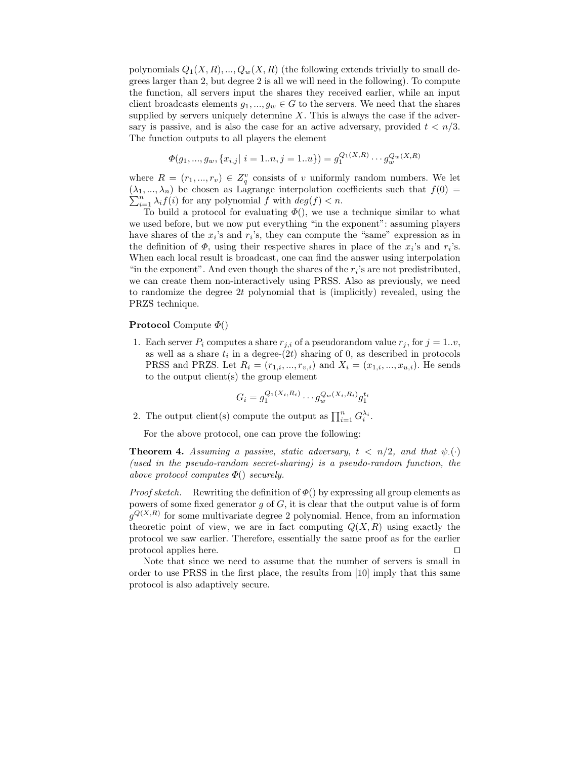polynomials  $Q_1(X, R), ..., Q_w(X, R)$  (the following extends trivially to small degrees larger than 2, but degree 2 is all we will need in the following). To compute the function, all servers input the shares they received earlier, while an input client broadcasts elements  $g_1, ..., g_w \in G$  to the servers. We need that the shares supplied by servers uniquely determine  $X$ . This is always the case if the adversary is passive, and is also the case for an active adversary, provided  $t < n/3$ . The function outputs to all players the element

$$
\Phi(g_1, ..., g_w, \{x_{i,j} | i = 1..n, j = 1..u\}) = g_1^{Q_1(X,R)} \cdots g_w^{Q_w(X,R)}
$$

where  $R = (r_1, ..., r_v) \in Z_q^v$  consists of v uniformly random numbers. We let  $\sum_{i=1}^{n} \lambda_i f(i)$  for any polynomial f with  $deg(f) < n$ .  $(\lambda_1, ..., \lambda_n)$  be chosen as Lagrange interpolation coefficients such that  $f(0)$ 

To build a protocol for evaluating  $\Phi()$ , we use a technique similar to what we used before, but we now put everything "in the exponent": assuming players have shares of the  $x_i$ 's and  $r_i$ 's, they can compute the "same" expression as in the definition of  $\Phi$ , using their respective shares in place of the  $x_i$ 's and  $r_i$ 's. When each local result is broadcast, one can find the answer using interpolation "in the exponent". And even though the shares of the  $r_i$ 's are not predistributed, we can create them non-interactively using PRSS. Also as previously, we need to randomize the degree 2t polynomial that is (implicitly) revealed, using the PRZS technique.

#### **Protocol** Compute  $\Phi()$

1. Each server  $P_i$  computes a share  $r_{i,i}$  of a pseudorandom value  $r_j$ , for  $j = 1..v$ , as well as a share  $t_i$  in a degree- $(2t)$  sharing of 0, as described in protocols PRSS and PRZS. Let  $R_i = (r_{1,i},...,r_{v,i})$  and  $X_i = (x_{1,i},...,x_{u,i})$ . He sends to the output client(s) the group element

$$
G_i = g_1^{Q_1(X_i, R_i)} \cdots g_w^{Q_w(X_i, R_i)} g_1^{t_i}
$$

2. The output client(s) compute the output as  $\prod_{i=1}^{n} G_i^{\lambda_i}$ .

For the above protocol, one can prove the following:

**Theorem 4.** Assuming a passive, static adversary,  $t < n/2$ , and that  $\psi$ . (used in the pseudo-random secret-sharing) is a pseudo-random function, the above protocol computes  $\Phi()$  securely.

*Proof sketch.* Rewriting the definition of  $\Phi$ () by expressing all group elements as powers of some fixed generator  $g$  of  $G$ , it is clear that the output value is of form  $g^{Q(X,R)}$  for some multivariate degree 2 polynomial. Hence, from an information theoretic point of view, we are in fact computing  $Q(X, R)$  using exactly the protocol we saw earlier. Therefore, essentially the same proof as for the earlier  $\Box$  protocol applies here.  $\Box$ 

Note that since we need to assume that the number of servers is small in order to use PRSS in the first place, the results from [10] imply that this same protocol is also adaptively secure.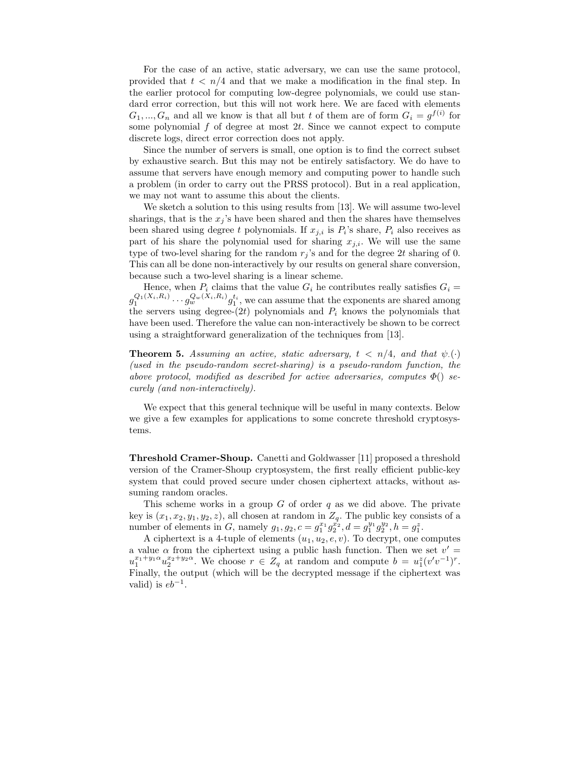For the case of an active, static adversary, we can use the same protocol, provided that  $t < n/4$  and that we make a modification in the final step. In the earlier protocol for computing low-degree polynomials, we could use standard error correction, but this will not work here. We are faced with elements  $G_1, ..., G_n$  and all we know is that all but t of them are of form  $G_i = g^{f(i)}$  for some polynomial  $f$  of degree at most  $2t$ . Since we cannot expect to compute discrete logs, direct error correction does not apply.

Since the number of servers is small, one option is to find the correct subset by exhaustive search. But this may not be entirely satisfactory. We do have to assume that servers have enough memory and computing power to handle such a problem (in order to carry out the PRSS protocol). But in a real application, we may not want to assume this about the clients.

We sketch a solution to this using results from [13]. We will assume two-level sharings, that is the  $x_i$ 's have been shared and then the shares have themselves been shared using degree t polynomials. If  $x_{j,i}$  is  $P_i$ 's share,  $P_i$  also receives as part of his share the polynomial used for sharing  $x_{i,i}$ . We will use the same type of two-level sharing for the random  $r_j$ 's and for the degree 2t sharing of 0. This can all be done non-interactively by our results on general share conversion, because such a two-level sharing is a linear scheme.

Hence, when  $P_i$  claims that the value  $G_i$  he contributes really satisfies  $G_i =$  $g_1^{Q_1(X_i,R_i)}\cdots g_w^{Q_w(X_i,R_i)}g_1^{t_i}$ , we can assume that the exponents are shared among the servers using degree- $(2t)$  polynomials and  $P_i$  knows the polynomials that have been used. Therefore the value can non-interactively be shown to be correct using a straightforward generalization of the techniques from [13].

**Theorem 5.** Assuming an active, static adversary,  $t < n/4$ , and that  $\psi$ . (used in the pseudo-random secret-sharing) is a pseudo-random function, the above protocol, modified as described for active adversaries, computes  $\Phi()$  securely (and non-interactively).

We expect that this general technique will be useful in many contexts. Below we give a few examples for applications to some concrete threshold cryptosystems.

Threshold Cramer-Shoup. Canetti and Goldwasser [11] proposed a threshold version of the Cramer-Shoup cryptosystem, the first really efficient public-key system that could proved secure under chosen ciphertext attacks, without assuming random oracles.

This scheme works in a group  $G$  of order  $q$  as we did above. The private key is  $(x_1, x_2, y_1, y_2, z)$ , all chosen at random in  $Z_q$ . The public key consists of a number of elements in G, namely  $g_1, g_2, c = g_1^{x_1} g_2^{x_2}, d = g_1^{y_1} g_2^{y_2}, h = g_1^z$ .

A ciphertext is a 4-tuple of elements  $(u_1, u_2, e, v)$ . To decrypt, one computes a value  $\alpha$  from the ciphertext using a public hash function. Then we set  $v' =$  $u_1^{x_1+y_1\alpha}u_2^{x_2+y_2\alpha}$ . We choose  $r \in \overline{Z_q}$  at random and compute  $b = u_1^z(v'v^{-1})^r$ . Finally, the output (which will be the decrypted message if the ciphertext was valid) is  $eb^{-1}$ .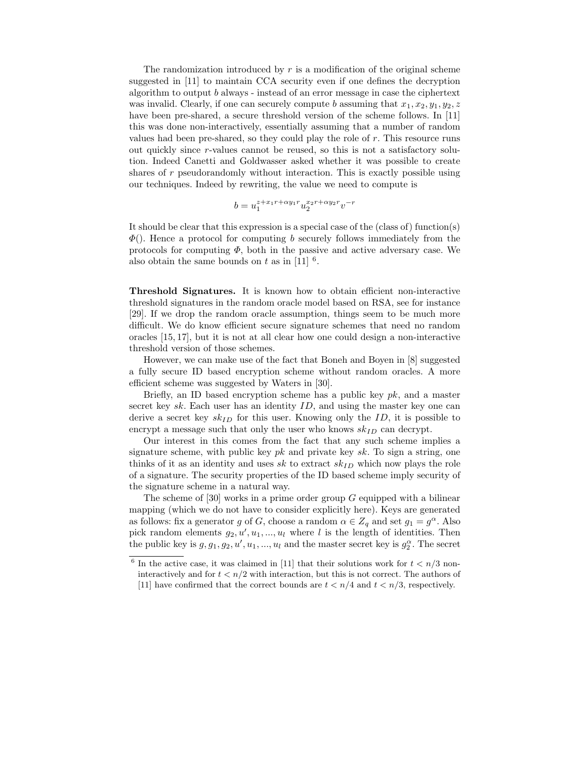The randomization introduced by  $r$  is a modification of the original scheme suggested in [11] to maintain CCA security even if one defines the decryption algorithm to output  $b$  always - instead of an error message in case the ciphertext was invalid. Clearly, if one can securely compute b assuming that  $x_1, x_2, y_1, y_2, z$ have been pre-shared, a secure threshold version of the scheme follows. In [11] this was done non-interactively, essentially assuming that a number of random values had been pre-shared, so they could play the role of r. This resource runs out quickly since r-values cannot be reused, so this is not a satisfactory solution. Indeed Canetti and Goldwasser asked whether it was possible to create shares of  $r$  pseudorandomly without interaction. This is exactly possible using our techniques. Indeed by rewriting, the value we need to compute is

$$
b = u_1^{z+x_1r + \alpha y_1r} u_2^{x_2r + \alpha y_2r} v^{-r}
$$

It should be clear that this expression is a special case of the (class of) function(s)  $\Phi$ . Hence a protocol for computing b securely follows immediately from the protocols for computing  $\Phi$ , both in the passive and active adversary case. We also obtain the same bounds on t as in [11]  $<sup>6</sup>$ .</sup>

Threshold Signatures. It is known how to obtain efficient non-interactive threshold signatures in the random oracle model based on RSA, see for instance [29]. If we drop the random oracle assumption, things seem to be much more difficult. We do know efficient secure signature schemes that need no random oracles [15, 17], but it is not at all clear how one could design a non-interactive threshold version of those schemes.

However, we can make use of the fact that Boneh and Boyen in [8] suggested a fully secure ID based encryption scheme without random oracles. A more efficient scheme was suggested by Waters in [30].

Briefly, an ID based encryption scheme has a public key  $pk$ , and a master secret key sk. Each user has an identity ID, and using the master key one can derive a secret key  $sk_{ID}$  for this user. Knowing only the ID, it is possible to encrypt a message such that only the user who knows  $sk_{ID}$  can decrypt.

Our interest in this comes from the fact that any such scheme implies a signature scheme, with public key  $pk$  and private key  $sk$ . To sign a string, one thinks of it as an identity and uses sk to extract  $sk_{ID}$  which now plays the role of a signature. The security properties of the ID based scheme imply security of the signature scheme in a natural way.

The scheme of  $|30|$  works in a prime order group G equipped with a bilinear mapping (which we do not have to consider explicitly here). Keys are generated as follows: fix a generator g of G, choose a random  $\alpha \in Z_q$  and set  $g_1 = g^{\alpha}$ . Also pick random elements  $g_2, u', u_1, ..., u_l$  where l is the length of identities. Then the public key is  $g, g_1, g_2, u', u_1, ..., u_l$  and the master secret key is  $g_2^{\alpha}$ . The secret

<sup>&</sup>lt;sup>6</sup> In the active case, it was claimed in [11] that their solutions work for  $t < n/3$  noninteractively and for  $t < n/2$  with interaction, but this is not correct. The authors of [11] have confirmed that the correct bounds are  $t < n/4$  and  $t < n/3$ , respectively.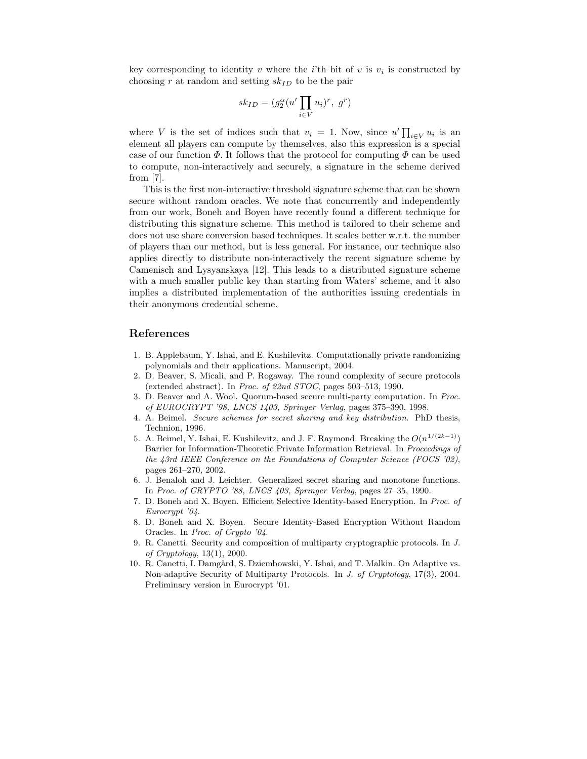key corresponding to identity v where the *i*'th bit of v is  $v_i$  is constructed by choosing r at random and setting  $sk_{ID}$  to be the pair

$$
sk_{ID} = (g_2^{\alpha}(u' \prod_{i \in V} u_i)^r, g^r)
$$

where V is the set of indices such that  $v_i = 1$ . Now, since  $u' \prod_{i \in V} u_i$  is an element all players can compute by themselves, also this expression is a special case of our function  $\Phi$ . It follows that the protocol for computing  $\Phi$  can be used to compute, non-interactively and securely, a signature in the scheme derived from [7].

This is the first non-interactive threshold signature scheme that can be shown secure without random oracles. We note that concurrently and independently from our work, Boneh and Boyen have recently found a different technique for distributing this signature scheme. This method is tailored to their scheme and does not use share conversion based techniques. It scales better w.r.t. the number of players than our method, but is less general. For instance, our technique also applies directly to distribute non-interactively the recent signature scheme by Camenisch and Lysyanskaya [12]. This leads to a distributed signature scheme with a much smaller public key than starting from Waters' scheme, and it also implies a distributed implementation of the authorities issuing credentials in their anonymous credential scheme.

## References

- 1. B. Applebaum, Y. Ishai, and E. Kushilevitz. Computationally private randomizing polynomials and their applications. Manuscript, 2004.
- 2. D. Beaver, S. Micali, and P. Rogaway. The round complexity of secure protocols (extended abstract). In Proc. of 22nd STOC, pages 503-513, 1990.
- 3. D. Beaver and A. Wool. Quorum-based secure multi-party computation. In Proc. of EUROCRYPT '98, LNCS 1403, Springer Verlag, pages 375–390, 1998.
- 4. A. Beimel. Secure schemes for secret sharing and key distribution. PhD thesis, Technion, 1996.
- 5. A. Beimel, Y. Ishai, E. Kushilevitz, and J. F. Raymond. Breaking the  $O(n^{1/(2k-1)})$ Barrier for Information-Theoretic Private Information Retrieval. In Proceedings of the 43rd IEEE Conference on the Foundations of Computer Science (FOCS '02), pages 261–270, 2002.
- 6. J. Benaloh and J. Leichter. Generalized secret sharing and monotone functions. In Proc. of CRYPTO '88, LNCS 403, Springer Verlag, pages 27–35, 1990.
- 7. D. Boneh and X. Boyen. Efficient Selective Identity-based Encryption. In Proc. of Eurocrypt '04.
- 8. D. Boneh and X. Boyen. Secure Identity-Based Encryption Without Random Oracles. In Proc. of Crypto '04.
- 9. R. Canetti. Security and composition of multiparty cryptographic protocols. In J. of Cryptology, 13(1), 2000.
- 10. R. Canetti, I. Damgård, S. Dziembowski, Y. Ishai, and T. Malkin. On Adaptive vs. Non-adaptive Security of Multiparty Protocols. In J. of Cryptology, 17(3), 2004. Preliminary version in Eurocrypt '01.